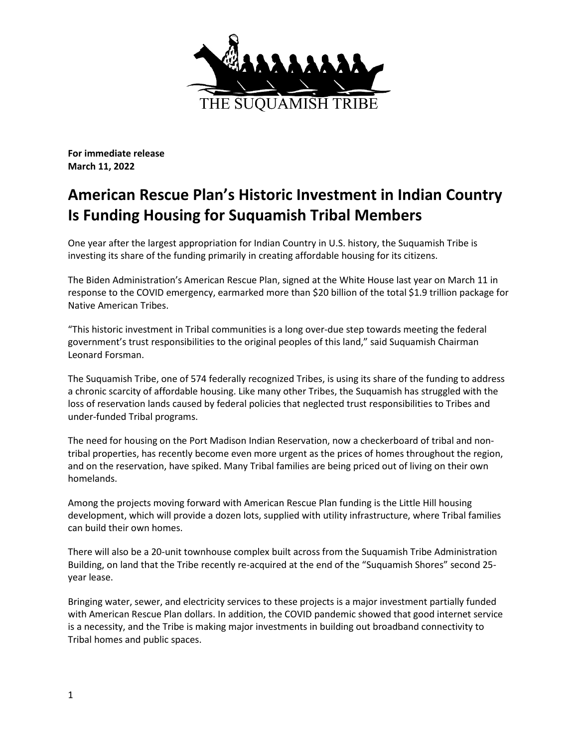

**For immediate release March 11, 2022**

## **American Rescue Plan's Historic Investment in Indian Country Is Funding Housing for Suquamish Tribal Members**

One year after the largest appropriation for Indian Country in U.S. history, the Suquamish Tribe is investing its share of the funding primarily in creating affordable housing for its citizens.

The Biden Administration's American Rescue Plan, signed at the White House last year on March 11 in response to the COVID emergency, earmarked more than \$20 billion of the total \$1.9 trillion package for Native American Tribes.

"This historic investment in Tribal communities is a long over-due step towards meeting the federal government's trust responsibilities to the original peoples of this land," said Suquamish Chairman Leonard Forsman.

The Suquamish Tribe, one of 574 federally recognized Tribes, is using its share of the funding to address a chronic scarcity of affordable housing. Like many other Tribes, the Suquamish has struggled with the loss of reservation lands caused by federal policies that neglected trust responsibilities to Tribes and under-funded Tribal programs.

The need for housing on the Port Madison Indian Reservation, now a checkerboard of tribal and nontribal properties, has recently become even more urgent as the prices of homes throughout the region, and on the reservation, have spiked. Many Tribal families are being priced out of living on their own homelands.

Among the projects moving forward with American Rescue Plan funding is the Little Hill housing development, which will provide a dozen lots, supplied with utility infrastructure, where Tribal families can build their own homes.

There will also be a 20-unit townhouse complex built across from the Suquamish Tribe Administration Building, on land that the Tribe recently re-acquired at the end of the "Suquamish Shores" second 25 year lease.

Bringing water, sewer, and electricity services to these projects is a major investment partially funded with American Rescue Plan dollars. In addition, the COVID pandemic showed that good internet service is a necessity, and the Tribe is making major investments in building out broadband connectivity to Tribal homes and public spaces.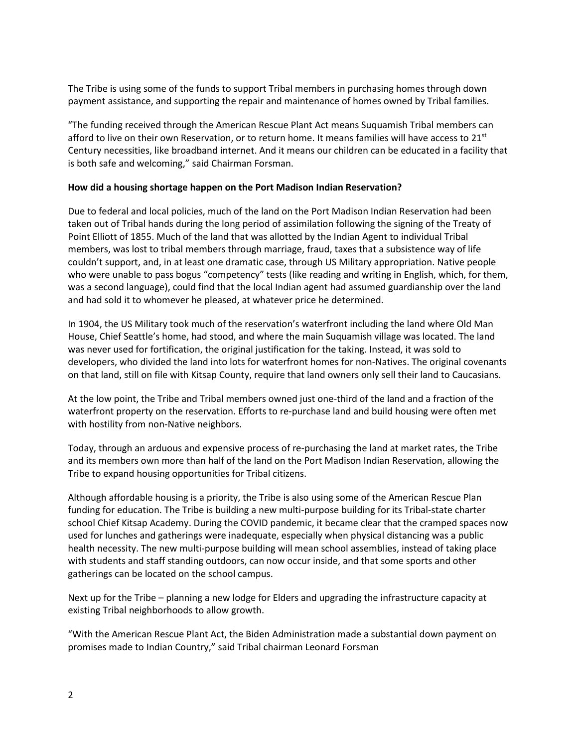The Tribe is using some of the funds to support Tribal members in purchasing homes through down payment assistance, and supporting the repair and maintenance of homes owned by Tribal families.

"The funding received through the American Rescue Plant Act means Suquamish Tribal members can afford to live on their own Reservation, or to return home. It means families will have access to 21st Century necessities, like broadband internet. And it means our children can be educated in a facility that is both safe and welcoming," said Chairman Forsman.

## **How did a housing shortage happen on the Port Madison Indian Reservation?**

Due to federal and local policies, much of the land on the Port Madison Indian Reservation had been taken out of Tribal hands during the long period of assimilation following the signing of the Treaty of Point Elliott of 1855. Much of the land that was allotted by the Indian Agent to individual Tribal members, was lost to tribal members through marriage, fraud, taxes that a subsistence way of life couldn't support, and, in at least one dramatic case, through US Military appropriation. Native people who were unable to pass bogus "competency" tests (like reading and writing in English, which, for them, was a second language), could find that the local Indian agent had assumed guardianship over the land and had sold it to whomever he pleased, at whatever price he determined.

In 1904, the US Military took much of the reservation's waterfront including the land where Old Man House, Chief Seattle's home, had stood, and where the main Suquamish village was located. The land was never used for fortification, the original justification for the taking. Instead, it was sold to developers, who divided the land into lots for waterfront homes for non-Natives. The original covenants on that land, still on file with Kitsap County, require that land owners only sell their land to Caucasians.

At the low point, the Tribe and Tribal members owned just one-third of the land and a fraction of the waterfront property on the reservation. Efforts to re-purchase land and build housing were often met with hostility from non-Native neighbors.

Today, through an arduous and expensive process of re-purchasing the land at market rates, the Tribe and its members own more than half of the land on the Port Madison Indian Reservation, allowing the Tribe to expand housing opportunities for Tribal citizens.

Although affordable housing is a priority, the Tribe is also using some of the American Rescue Plan funding for education. The Tribe is building a new multi-purpose building for its Tribal-state charter school Chief Kitsap Academy. During the COVID pandemic, it became clear that the cramped spaces now used for lunches and gatherings were inadequate, especially when physical distancing was a public health necessity. The new multi-purpose building will mean school assemblies, instead of taking place with students and staff standing outdoors, can now occur inside, and that some sports and other gatherings can be located on the school campus.

Next up for the Tribe – planning a new lodge for Elders and upgrading the infrastructure capacity at existing Tribal neighborhoods to allow growth.

"With the American Rescue Plant Act, the Biden Administration made a substantial down payment on promises made to Indian Country," said Tribal chairman Leonard Forsman